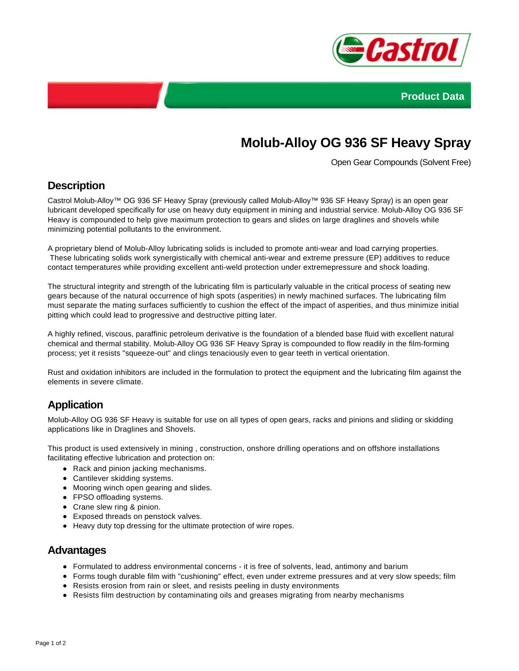



# **Molub-Alloy OG 936 SF Heavy Spray**

Open Gear Compounds (Solvent Free)

## **Description**

Castrol Molub-Alloy™ OG 936 SF Heavy Spray (previously called Molub-Alloy™ 936 SF Heavy Spray) is an open gear lubricant developed specifically for use on heavy duty equipment in mining and industrial service. Molub-Alloy OG 936 SF Heavy is compounded to help give maximum protection to gears and slides on large draglines and shovels while minimizing potential pollutants to the environment.

A proprietary blend of Molub-Alloy lubricating solids is included to promote anti-wear and load carrying properties. These lubricating solids work synergistically with chemical anti-wear and extreme pressure (EP) additives to reduce contact temperatures while providing excellent anti-weld protection under extremepressure and shock loading.

The structural integrity and strength of the lubricating film is particularly valuable in the critical process of seating new gears because of the natural occurrence of high spots (asperities) in newly machined surfaces. The lubricating film must separate the mating surfaces sufficiently to cushion the effect of the impact of asperities, and thus minimize initial pitting which could lead to progressive and destructive pitting later.

A highly refined, viscous, paraffinic petroleum derivative is the foundation of a blended base fluid with excellent natural chemical and thermal stability. Molub-Alloy OG 936 SF Heavy Spray is compounded to flow readily in the film-forming process; yet it resists "squeeze-out" and clings tenaciously even to gear teeth in vertical orientation.

Rust and oxidation inhibitors are included in the formulation to protect the equipment and the lubricating film against the elements in severe climate.

# **Application**

Molub-Alloy OG 936 SF Heavy is suitable for use on all types of open gears, racks and pinions and sliding or skidding applications like in Draglines and Shovels.

This product is used extensively in mining , construction, onshore drilling operations and on offshore installations facilitating effective lubrication and protection on:

- Rack and pinion jacking mechanisms.
- Cantilever skidding systems.
- Mooring winch open gearing and slides.
- FPSO offloading systems.
- Crane slew ring & pinion.
- Exposed threads on penstock valves.
- Heavy duty top dressing for the ultimate protection of wire ropes.

#### **Advantages**

- Formulated to address environmental concerns it is free of solvents, lead, antimony and barium
- Forms tough durable film with "cushioning" effect, even under extreme pressures and at very slow speeds; film
- Resists erosion from rain or sleet, and resists peeling in dusty environments
- Resists film destruction by contaminating oils and greases migrating from nearby mechanisms